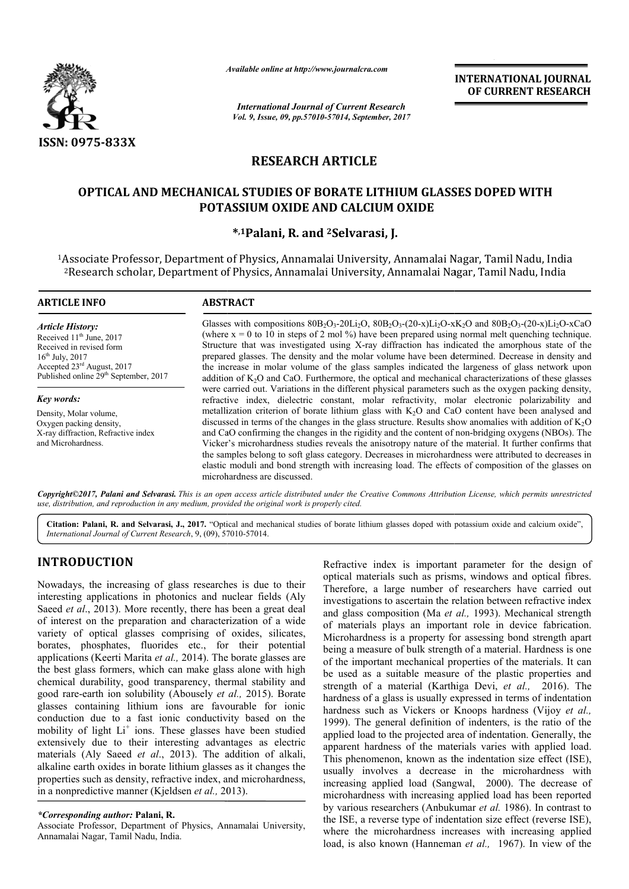

*Available online at http://www.journal http://www.journalcra.com*

*International Journal of Current Research Vol. 9, Issue, 09, pp.57010-57014, September, 2017* **INTERNATIONAL JOURNAL OF CURRENT RESEARCH** 

# **RESEARCH ARTICLE**

## **OPTICAL AND MECHANICAL STUDIES OF BORATE LITHIUM GLASSES DOPED WITH OPTICAL AND MECHANICAL STUDIES OF POTASSIUM OXIDE AND CALCIUM OXIDE**

## **\*,1Palani, R. and 2Selvarasi, J.**

1Associate Professor, Department of Physics, Annamalai University, Annamalai Nagar, Tamil Nadu, India Associate Professor, Department of Physics, Annamalai University, Annamalai Nagar, Tamil Nadu, India<br><sup>2</sup>Research scholar, Department of Physics, Annamalai University, Annamalai Nagar, Tamil Nadu, India

#### **ARTICLE INFO ABSTRACT**

*Article History:* Received 11<sup>th</sup> June, 2017 Received in revised form 16th July, 2017 Accepted 23rd August, 2017 Published online 29<sup>th</sup> September, 2017

*Key words:*

Density, Molar volume, Oxygen packing density, X-ray diffraction, Refractive index and Microhardness.

Glasses with compositions  $80B_2O_3 - 20Li_2O$ ,  $80B_2O_3 - (20-x)L_2O - xK_2O$  and  $80B_2O_3 - (20-x)L_2O - xCaO$ (where  $x = 0$  to 10 in steps of 2 mol %) have been prepared using normal melt quenching technique. Structure that was investigated using X-ray diffraction has indicated the amorphous state of the prepared glasses. The density and the molar volume have been determined. Decrease in density and the increase in molar volume of the glass samples indicated the largeness of glass network upon addition of  $K_2O$  and CaO. Furthermore, the optical and mechanical characterizations of these glasses were carried out. Variations in the different physical parameters such as the oxygen packing density, refractive index, dielectric constant, molar refractivity, molar electronic polarizability and metallization criterion of borate lithium glass with  $K<sub>2</sub>O$  and CaO content have been analysed and metallization criterion of borate lithium glass with  $K_2O$  and CaO content have been analysed and discussed in terms of the changes in the glass structure. Results show anomalies with addition of  $K_2O$ and CaO confirming the changes in the rigidity and the content of non-bridging oxygens (NBOs). The Vicker's microhardness studies reveals the anisotropy nature of the material. It further confirms that Vicker's microhardness studies reveals the anisotropy nature of the material. It further confirms that the samples belong to soft glass category. Decreases in microhardness were attributed to decreases in elastic moduli and bond strength with increasing load. The effects of composition of the glasses on microhardness are discussed. (where  $x = 0$  to 10 in steps of 2 mol %) have been prepared using normal melt quenching technique.<br>Structure that was investigated using X-ray diffraction has indicated the amorphous state of the prepared glasses. The den

*Copyright©2017, Palani and Selvarasi. This is an open access article distributed under the Creative Commons Attribution License, which ribution permits unrestricted use, distribution, and reproduction in any medium, provided the original work is properly cited.*

Citation: Palani, R. and Selvarasi, J., 2017. "Optical and mechanical studies of borate lithium glasses doped with potassium oxide and calcium oxide", *International Journal of Current Research*, 9, (09), 57010 57010-57014.

# **INTRODUCTION**

Nowadays, the increasing of glass researches is due to their interesting applications in photonics and nuclear fields (Aly Saeed *et al*., 2013). More recently, there has been a great deal of interest on the preparation and characterization of a wide variety of optical glasses comprising of oxides, silicates, borates, phosphates, fluorides etc., for their potential applications (Keerti Marita *et al.,* 2014). The borate glasses are the best glass formers, which can make glass alone with high chemical durability, good transparency, thermal stability and good rare-earth ion solubility (Abousely *et al.,* 2015). Borate glasses containing lithium ions are favourable for ionic conduction due to a fast ionic conductivity based on the mobility of light Li<sup>+</sup> ions. These glasses have been studied extensively due to their interesting advantages as electric materials (Aly Saeed *et al*., 2013). The addition of alkali, alkaline earth oxides in borate lithium glasses as it changes the properties such as density, refractive index, and microhardness, in a nonpredictive manner (Kjeldsen *et al.,* 2013 2013).

#### *\*Corresponding author:* **Palani, R.**

Associate Professor, Department of Physics, Annamalai University, Annamalai Nagar, Tamil Nadu, India.

Refractive index is important parameter for the design of Refractive index is important parameter for the design of optical materials such as prisms, windows and optical fibres. Therefore, a large number of researchers have carried out Therefore, a large number of researchers have carried out investigations to ascertain the relation between refractive index and glass composition (Ma et al., 1993). Mechanical strength of materials plays an important role in device fabrication. Microhardness is a property for assessing bond strength apart being a measure of bulk strength of a material. Hardness is one of the important mechanical properties of the materials. It can be used as a suitable measure of the plastic properties and strength of a material (Karthiga Devi, et al., 2016). The hardness of a glass is usually expressed in terms of indentation hardness of a glass is usually expressed in terms of indentation<br>hardness such as Vickers or Knoops hardness (Vijoy *et al.*, 1999). The general definition of indenters, is the ratio of the applied load to the projected area of indentation. Generally, the apparent hardness of the materials varies with applied load. This phenomenon, known as the indentation size effect (ISE), usually involves a decrease in the microhardness with increasing applied load (Sangwal, 2000). The decrease of microhardness with increasing applied load has been reported microhardness with increasing applied load has been reported<br>by various researchers (Anbukumar *et al.* 1986). In contrast to the ISE, a reverse type of indentation size effect (reverse ISE), the ISE, a reverse type of indentation size effect (reverse ISE), where the microhardness increases with increasing applied load, is also known (Hanneman *et al.*, 1967). In view of the sess is a property for assessing bond strength apart<br>sure of bulk strength of a material. Hardness is one<br>tant mechanical properties of the materials. It can<br>a suitable measure of the plastic properties and<br>a material (Kar ). The general definition of indenters, is the ratio of the ed load to the projected area of indentation. Generally, the rent hardness of the materials varies with applied load. phenomenon, known as the indentation size ef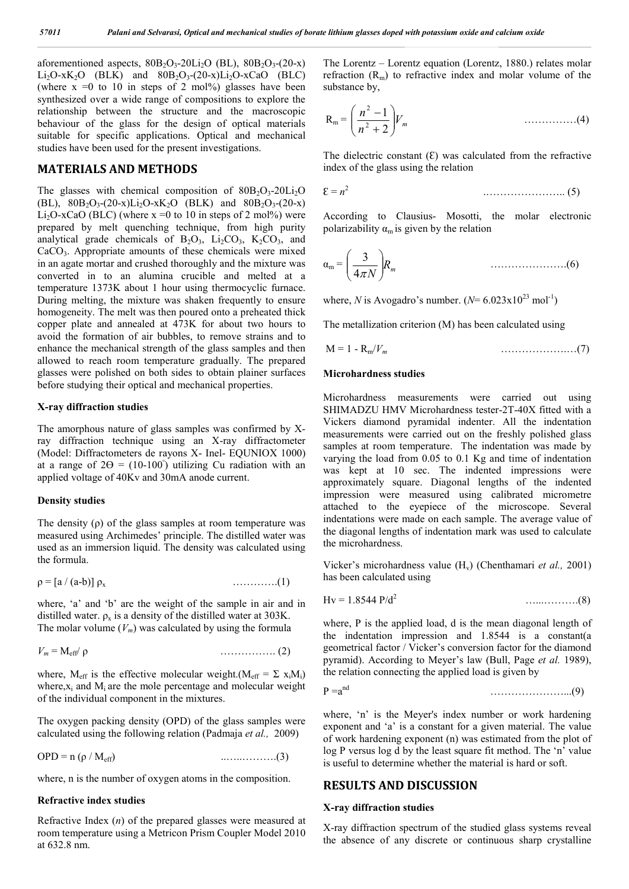aforementioned aspects,  $80B_2O_3-20Li_2O$  (BL),  $80B_2O_3-(20-x)$ Li<sub>2</sub>O-xK<sub>2</sub>O (BLK) and  $80B_2O_3$ -(20-x)Li<sub>2</sub>O-xCaO (BLC) (where  $x = 0$  to 10 in steps of 2 mol%) glasses have been synthesized over a wide range of compositions to explore the relationship between the structure and the macroscopic behaviour of the glass for the design of optical materials suitable for specific applications. Optical and mechanical studies have been used for the present investigations.

## **MATERIALS AND METHODS**

The glasses with chemical composition of  $80B_2O_3-20Li_2O$ (BL),  $80B_2O_3-(20-x)Li_2O-xK_2O$  (BLK) and  $80B_2O_3-(20-x)$ Li<sub>2</sub>O-xCaO (BLC) (where  $x =0$  to 10 in steps of 2 mol%) were prepared by melt quenching technique, from high purity analytical grade chemicals of  $B_2O_3$ ,  $Li_2CO_3$ ,  $K_2CO_3$ , and CaCO<sub>3</sub>. Appropriate amounts of these chemicals were mixed in an agate mortar and crushed thoroughly and the mixture was converted in to an alumina crucible and melted at a temperature 1373K about 1 hour using thermocyclic furnace. During melting, the mixture was shaken frequently to ensure homogeneity. The melt was then poured onto a preheated thick copper plate and annealed at 473K for about two hours to avoid the formation of air bubbles, to remove strains and to enhance the mechanical strength of the glass samples and then allowed to reach room temperature gradually. The prepared glasses were polished on both sides to obtain plainer surfaces before studying their optical and mechanical properties.

#### **X-ray diffraction studies**

The amorphous nature of glass samples was confirmed by Xray diffraction technique using an X-ray diffractometer (Model: Diffractometers de rayons X- Inel- EQUNIOX 1000) at a range of  $2\Theta = (10-100^{\circ})$  utilizing Cu radiation with an applied voltage of 40Kv and 30mA anode current.

#### **Density studies**

The density  $(\rho)$  of the glass samples at room temperature was measured using Archimedes' principle. The distilled water was used as an immersion liquid. The density was calculated using the formula.

 $\rho = [a / (a-b)] \rho_x$  …………...(1)

where, 'a' and 'b' are the weight of the sample in air and in distilled water.  $\rho_x$  is a density of the distilled water at 303K. The molar volume  $(V_m)$  was calculated by using the formula

$$
V_m = M_{\text{eff}} / \rho \tag{2}
$$

where,  $M_{\text{eff}}$  is the effective molecular weight.( $M_{\text{eff}} = \Sigma x_i M_i$ ) where, $x_i$  and  $M_i$  are the mole percentage and molecular weight of the individual component in the mixtures.

The oxygen packing density (OPD) of the glass samples were calculated using the following relation (Padmaja *et al.,* 2009)

OPD = n (ρ / Meff) ..…..……….(3)

where, n is the number of oxygen atoms in the composition.

#### **Refractive index studies**

Refractive Index (*n*) of the prepared glasses were measured at room temperature using a Metricon Prism Coupler Model 2010 at 632.8 nm.

The Lorentz – Lorentz equation (Lorentz, 1880.) relates molar refraction  $(R_m)$  to refractive index and molar volume of the substance by,

$$
R_m = \left(\frac{n^2 - 1}{n^2 + 2}\right) V_m \tag{4}
$$

The dielectric constant  $(E)$  was calculated from the refractive index of the glass using the relation

$$
\mathcal{E} = n^2 \tag{5}
$$

According to Clausius- Mosotti, the molar electronic polarizability  $\alpha_m$  is given by the relation

$$
\alpha_{\rm m} = \left(\frac{3}{4\pi N}\right) R_m \tag{6}
$$

where, *N* is Avogadro's number.  $(N=6.023 \times 10^{23} \text{ mol}^{-1})$ 

The metallization criterion (M) has been calculated using

$$
M = 1 - R_m/V_m
$$
 (7)

#### **Microhardness studies**

Microhardness measurements were carried out using SHIMADZU HMV Microhardness tester-2T-40X fitted with a Vickers diamond pyramidal indenter. All the indentation measurements were carried out on the freshly polished glass samples at room temperature. The indentation was made by varying the load from 0.05 to 0.1 Kg and time of indentation was kept at 10 sec. The indented impressions were approximately square. Diagonal lengths of the indented impression were measured using calibrated micrometre attached to the eyepiece of the microscope. Several indentations were made on each sample. The average value of the diagonal lengths of indentation mark was used to calculate the microhardness.

Vicker's microhardness value (H<sub>v</sub>) (Chenthamari *et al.*, 2001) has been calculated using

$$
Hv = 1.8544 \text{ P}/d^2
$$
 (8)

where, P is the applied load, d is the mean diagonal length of the indentation impression and 1.8544 is a constant(a geometrical factor / Vicker's conversion factor for the diamond pyramid). According to Meyer's law (Bull, Page *et al.* 1989), the relation connecting the applied load is given by

$$
P = a^{nd} \tag{9}
$$

where, 'n' is the Meyer's index number or work hardening exponent and 'a' is a constant for a given material. The value of work hardening exponent (n) was estimated from the plot of log P versus log d by the least square fit method. The 'n' value is useful to determine whether the material is hard or soft.

### **RESULTS AND DISCUSSION**

#### **X-ray diffraction studies**

X-ray diffraction spectrum of the studied glass systems reveal the absence of any discrete or continuous sharp crystalline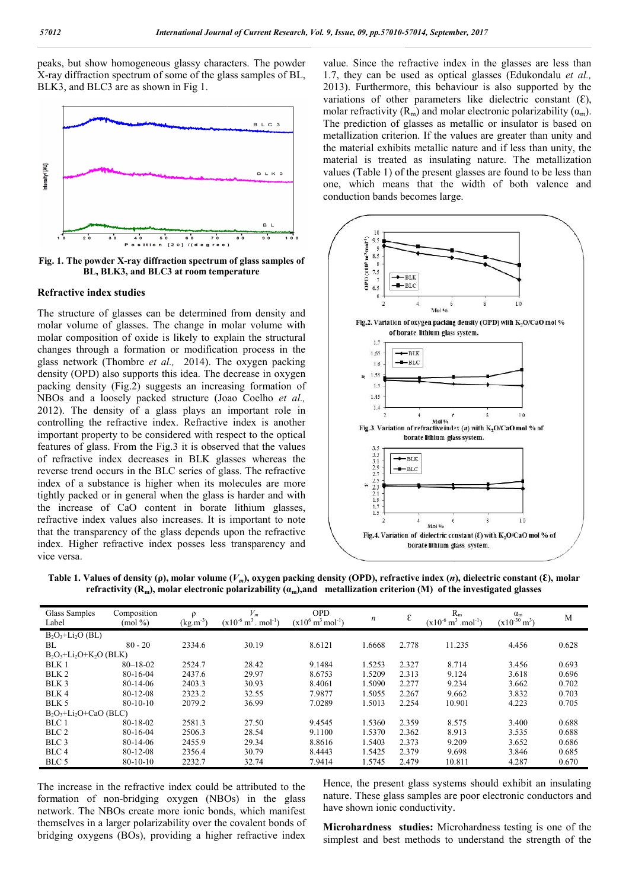peaks, but show homogeneous glassy characters. The powder X-ray diffraction spectrum of some of the glass samples of BL, BLK3, and BLC3 are as shown in Fig 1.



Fig. 1. The powder X-ray diffraction spectrum of glass samples of **BL, BLK3, and BLC3 at room temperature**

#### **Refractive index studies**

The structure of glasses can be determined from density and molar volume of glasses. The change in molar volume with molar composition of oxide is likely to explain the structural changes through a formation or modification process in the glass network (Thombre *et al.,* 2014). The oxygen packing density (OPD) also supports this idea. The decrease in oxygen packing density (Fig.2) suggests an increasing formation of NBOs and a loosely packed structure (Joao Coelho et al., 2012). The density of a glass plays an important role in controlling the refractive index. Refractive index is another important property to be considered with respect to the optical features of glass. From the Fig.3 it is observed that the values of refractive index decreases in BLK glasses whereas the reverse trend occurs in the BLC series of glass. The refractive index of a substance is higher when its molecules are more tightly packed or in general when the glass is harder and with the increase of CaO content in borate lithium glasses, refractive index values also increases. It is important to note that the transparency of the glass depends upon the refractive index. Higher refractive index posses less transparency and vice versa.

value. Since the refractive index in the glasses are less than 1.7, they can be used as optical glasses (Edukondalu *et al.*, 2013). Furthermore, this behaviour is also supported by the 2013). Furthermore, this behaviour is also supported by the variations of other parameters like dielectric constant  $(E)$ , molar refractivity  $(R_m)$  and molar electronic polarizability  $(\alpha_m)$ . The prediction of glasses as metallic or insulator is based on metallization criterion. If the values are greater than unity and the material exhibits metallic nature and if less than unity, the material is treated as insulating nature. The metallization values (Table 1) of the present glasses are found to be less than one, which means that the width of both valence and conduction bands becomes large.



**Table 1. Values of density (ρ), molar volume (** *Vm***), oxygen packing density (OPD), refractive index (***n*  ${\bf r}$ efractivity ( ${\bf R}_{\rm m}$ ), molar electronic polarizability ( $a_{\rm m}$ ),and  $\;$  metallization criterion (M)  $\;$  of the investigated glasses

| Glass Samples             | Composition    |                      | $V_m$                           | <b>OPD</b>                             | n      | ε     | $R_m$                                      | $\alpha_{m}$      | M     |
|---------------------------|----------------|----------------------|---------------------------------|----------------------------------------|--------|-------|--------------------------------------------|-------------------|-------|
| Label                     | $(mod \% )$    | $(\text{kg.m}^{-3})$ | $(x10^{-6} m^3 \cdot mol^{-1})$ | $(x10^6 \text{ m}^3 \text{ mol}^{-1})$ |        |       | $(x10^{-6} \text{ m}^3 \text{ .mol}^{-1})$ | $(x10^{-30} m^3)$ |       |
| $B_2O_3+Li_2O(BL)$        |                |                      |                                 |                                        |        |       |                                            |                   |       |
| BL.                       | $80 - 20$      | 2334.6               | 30.19                           | 8.6121                                 | .6668  | 2.778 | 11.235                                     | 4.456             | 0.628 |
| $B_2O_3+Li_2O+K_2O$ (BLK) |                |                      |                                 |                                        |        |       |                                            |                   |       |
| BLK 1                     | $80 - 18 - 02$ | 2524.7               | 28.42                           | 9.1484                                 | .5253  | 2.327 | 8.714                                      | 3.456             | 0.693 |
| BLK <sub>2</sub>          | 80-16-04       | 2437.6               | 29.97                           | 8.6753                                 | .5209  | 2.313 | 9.124                                      | 3.618             | 0.696 |
| BLK <sub>3</sub>          | 80-14-06       | 2403.3               | 30.93                           | 8.4061                                 | .5090  | 2.277 | 9.234                                      | 3.662             | 0.702 |
| BLK4                      | $80 - 12 - 08$ | 2323.2               | 32.55                           | 7.9877                                 | .5055  | 2.267 | 9.662                                      | 3.832             | 0.703 |
| BLK 5                     | $80-10-10$     | 2079.2               | 36.99                           | 7.0289                                 | .5013  | 2.254 | 10.901                                     | 4.223             | 0.705 |
| $B_2O_3+Li_2O+CaO(BLC)$   |                |                      |                                 |                                        |        |       |                                            |                   |       |
| BLC 1                     | 80-18-02       | 2581.3               | 27.50                           | 9.4545                                 | 1.5360 | 2.359 | 8.575                                      | 3.400             | 0.688 |
| BLC <sub>2</sub>          | 80-16-04       | 2506.3               | 28.54                           | 9.1100                                 | .5370  | 2.362 | 8.913                                      | 3.535             | 0.688 |
| BLC <sub>3</sub>          | 80-14-06       | 2455.9               | 29.34                           | 8.8616                                 | 1.5403 | 2.373 | 9.209                                      | 3.652             | 0.686 |
| BLC 4                     | $80 - 12 - 08$ | 2356.4               | 30.79                           | 8.4443                                 | .5425  | 2.379 | 9.698                                      | 3.846             | 0.685 |
| BLC 5                     | $80-10-10$     | 2232.7               | 32.74                           | 7.9414                                 | 1.5745 | 2.479 | 10.811                                     | 4.287             | 0.670 |

The increase in the refractive index could be attributed to the formation of non-bridging oxygen (NBOs) in the glass network. The NBOs create more ionic bonds, which manifest themselves in a larger polarizability over the covalent bonds of bridging oxygens (BOs), providing a higher refractive index

Hence, the present glass systems should exhibit an insulating nature. These glass samples are poor electronic conductors and have shown ionic conductivity.

**Microhardness studies:** Microhardness testing is one of the simplest and best methods to understand the strength of the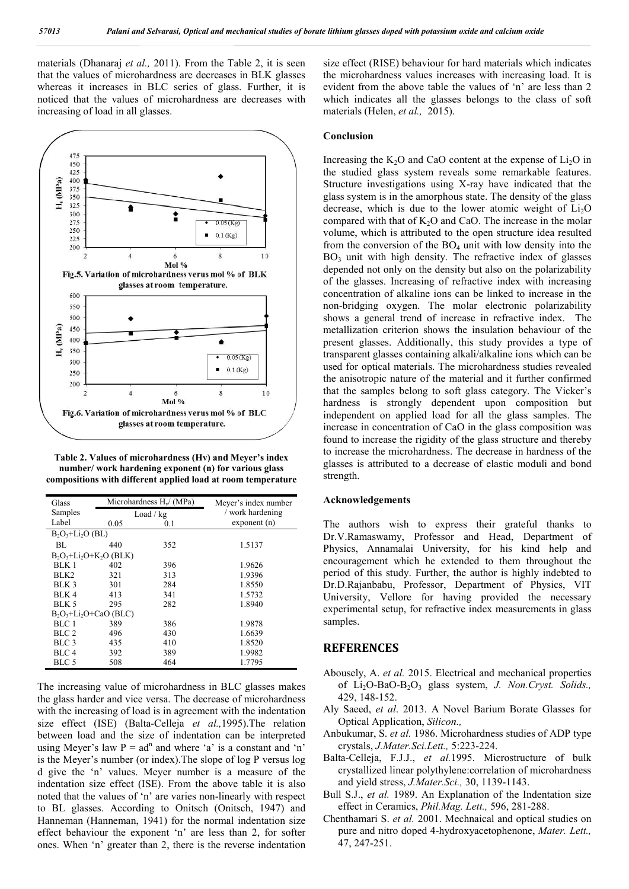materials (Dhanaraj *et al.,* 2011). From the Table 2, it is seen that the values of microhardness are decreases in BLK glasses whereas it increases in BLC series of glass. Further, it is noticed that the values of microhardness are decreases with increasing of load in all glasses.



**Table 2. Values of microhardness (Hv) and Meyer's index number/ work hardening exponent (n) for various glass compositions with different applied load at room temperature**

| Glass                    |      | Microhardness $H_v / (MPa)$ | Meyer's index number<br>work hardening |  |  |  |  |  |  |
|--------------------------|------|-----------------------------|----------------------------------------|--|--|--|--|--|--|
| Samples                  |      | Load / kg                   |                                        |  |  |  |  |  |  |
| Label                    | 0.05 | 0.1                         | exponent(n)                            |  |  |  |  |  |  |
| $B_2O_3+Li_2O$ (BL)      |      |                             |                                        |  |  |  |  |  |  |
| BL.                      | 440  | 352                         | 1.5137                                 |  |  |  |  |  |  |
| $B_2O_3+Li_2O+K_2O(BLK)$ |      |                             |                                        |  |  |  |  |  |  |
| BLK 1                    | 402  | 396                         | 1.9626                                 |  |  |  |  |  |  |
| BLK <sub>2</sub>         | 321  | 313                         | 1.9396                                 |  |  |  |  |  |  |
| BLK 3                    | 301  | 284                         | 1.8550                                 |  |  |  |  |  |  |
| BLK <sub>4</sub>         | 413  | 341                         | 1.5732                                 |  |  |  |  |  |  |
| BLK <sub>5</sub>         | 295  | 282                         | 1.8940                                 |  |  |  |  |  |  |
| $B_2O_3+Li_2O+CaO(BLC)$  |      |                             |                                        |  |  |  |  |  |  |
| BLC 1                    | 389  | 386                         | 1.9878                                 |  |  |  |  |  |  |
| BIC <sub>2</sub>         | 496  | 430                         | 1.6639                                 |  |  |  |  |  |  |
| BLC 3                    | 435  | 410                         | 1.8520                                 |  |  |  |  |  |  |
| BLC 4                    | 392  | 389                         | 1.9982                                 |  |  |  |  |  |  |
| BLC 5                    | 508  | 464                         | 1.7795                                 |  |  |  |  |  |  |

The increasing value of microhardness in BLC glasses makes the glass harder and vice versa. The decrease of microhardness with the increasing of load is in agreement with the indentation size effect (ISE) (Balta-Celleja *et al.*, 1995). The relation between load and the size of indentation can be interpreted using Meyer's law  $P = ad^n$  and where 'a' is a constant and 'n' is the Meyer's number (or index).The slope of log P versus log d give the 'n' values. Meyer number is a measure of the indentation size effect (ISE). From the above table it is also noted that the values of 'n' are varies non-linearly with respect noted that the values of 'n' are varies non-linearly with respect<br>to BL glasses. According to Onitsch (Onitsch, 1947) and Hanneman (Hanneman, 1941) for the normal indentation size effect behaviour the exponent 'n' are less than 2, for softer ones. When 'n' greater than 2, there is the reverse indentation

size effect (RISE) behaviour for hard materials which indicates the microhardness values increases with increasing load. It is evident from the above table the values of 'n' are less than 2 which indicates all the glasses belongs to the class of soft materials (Helen, *et al.*, 2015). materials (Helen, *et al.,* 2015).

#### **Conclusion**

Increasing the  $K_2O$  and CaO content at the expense of  $Li_2O$  in the studied glass system reveals some remarkable features. the studied glass system reveals some remarkable features.<br>Structure investigations using X-ray have indicated that the glass system is in the amorphous state. The density of the glass glass system is in the amorphous state. The density of the glass decrease, which is due to the lower atomic weight of  $Li<sub>2</sub>O$ compared with that of  $K_2O$  and CaO. The increase in the molar volume, which is attributed to the open structure idea resulted from the conversion of the  $BO<sub>4</sub>$  unit with low density into the  $BO<sub>3</sub>$  unit with high density. The refractive index of glasses depended not only on the density but also on the polarizability of the glasses. Increasing of refractive index with increasing concentration of alkaline ions can be linked to increase in the non-bridging oxygen. The molar electronic polarizability shows a general trend of increase in refractive index. The metallization criterion shows the insulation behaviour of the present glasses. Additionally, this study provides a type of transparent glasses containing alkali/alkaline ions which can be used for optical materials. The microhardness studies revealed the anisotropic nature of the material and it further confirmed the anisotropic nature of the material and it further confirmed<br>that the samples belong to soft glass category. The Vicker's hardness is strongly dependent upon composition but hardness is strongly dependent upon composition but<br>independent on applied load for all the glass samples. The increase in concentration of CaO in the glass composition was found to increase the rigidity of the glass structure and thereby to increase the microhardness. The decrease in hardness of the glasses is attributed to a decrease of elastic moduli a strength. I with that of  $K_2O$  and CaO. The increase in the molar which is attributed to the open structure idea resulted conversion of the  $BO_4$  unit with low density into the unit with high density. The refractive index of glasses inded not only on the density but also on the polarizability increasing entration of alkaline ions can be linked to increase in the bridging oxygen. The molar electro se in concentration of CaO in the glass composition was<br>to increase the rigidity of the glass structure and thereby<br>ease the microhardness. The decrease in hardness of the<br>s is attributed to a decrease of elastic moduli an

#### **Acknowledgements**

The authors wish to express their grateful thanks to Dr.V.Ramaswamy, Professor and Head, Department of Physics, Annamalai University, for his kind help and encouragement which he extended to them throughout the period of this study. Further, the author is highly indebted to Dr.D.Rajanbabu, Professor, Department of Physics, VIT University, Vellore for having provided the necessary experimental setup, for refractive index measurements in glass samples. The authors wish to express their grateful thanks to Dr.V.Ramaswamy, Professor and Head, Department of Physics, Annamalai University, for his kind help and encouragement which he extended to them throughout the period of t provided the necessary<br>we index measurements in glass<br>trical and mechanical properties<br>system, *J. Non.Cryst. Solids.*,

#### **REFERENCES**

- Abousely, A. *et al.* 2015. Electrical and mechanical properties of  $Li_2O-BaO-B_2O_3$  glass system, J. Non. Cryst. Solids., 429, 148-152.
- Aly Saeed, *et al*. 2013. A Novel Barium Borate Glasses for Optical Application, *Silicon.,* Aly Saeed, *et al.* 2013. A Novel Barium Borate Glasses for Optical Application, *Silicon.*, Anbukumar, S. *et al.* 1986. Microhardness studies of ADP type
- crystals, *J.Mater.Sci.Lett.,* 5:223 5:223-224.
- Balta-Celleja, F.J.J., *et al.*1995. Microstructure of bulk crystallized linear polythylene: correlation of microhardness and yield stress, *J.Mater.Sci Sci.,* 30, 1139-1143.
- Bull S.J., *et al.* 1989. An Explanation of the Indentation size effect in Ceramics, *Phil.Mag. Phil.Mag. Lett.,* 596, 281-288.
- Chenthamari S. *et al.* 2001. Mechnaical and optical studies on pure and nitro doped 4-hydroxyacetophenone, Mater. Lett., 47, 247-251.